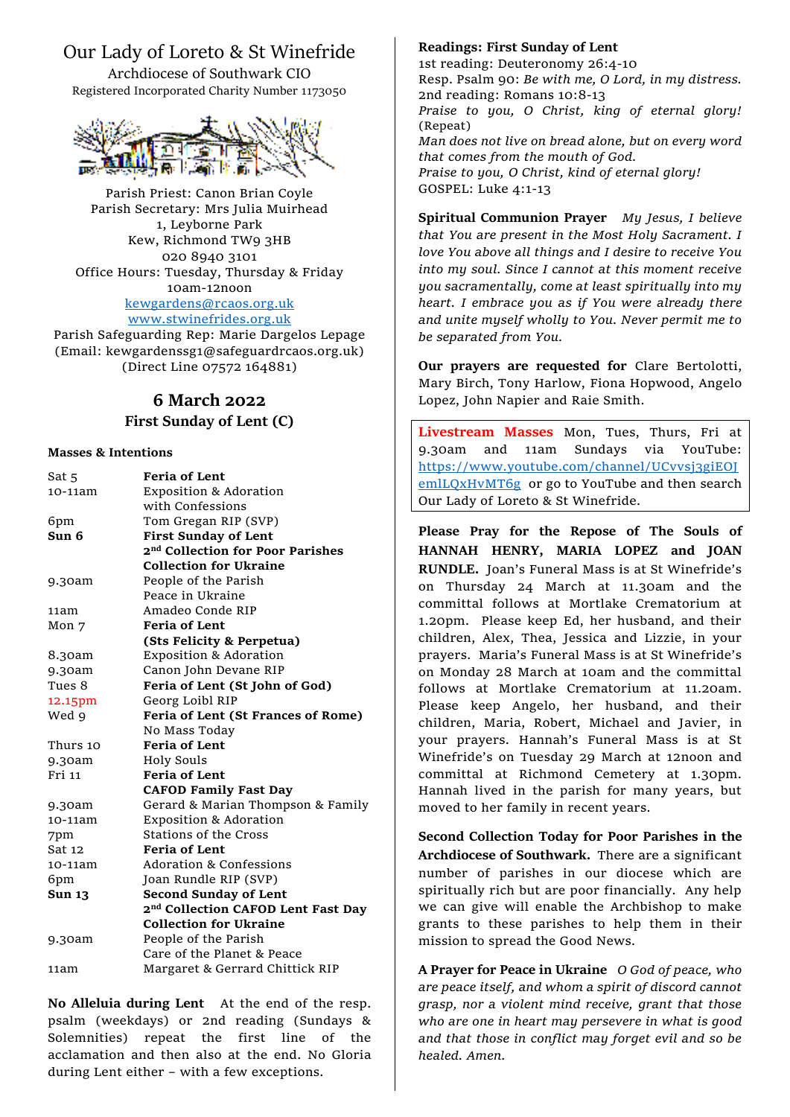## Our Lady of Loreto & St Winefride

Archdiocese of Southwark CIO Registered Incorporated Charity Number 1173050



Parish Priest: Canon Brian Coyle Parish Secretary: Mrs Julia Muirhead 1, Leyborne Park Kew, Richmond TW9 3HB 020 8940 3101 Office Hours: Tuesday, Thursday & Friday 10am-12noon [kewgardens@rcaos.org.uk](mailto:kewgardens@rcaos.org.uk) [www.stwinefrides.org.uk](http://www.stwinefrides.org.uk/)

Parish Safeguarding Rep: Marie Dargelos Lepage (Email: kewgardenssg1@safeguardrcaos.org.uk) (Direct Line 07572 164881)

# **6 March 2022**

### **First Sunday of Lent (C)**

#### **Masses & Intentions**

| Sat 5            | <b>Feria of Lent</b>                           |
|------------------|------------------------------------------------|
| 10-11am          | <b>Exposition &amp; Adoration</b>              |
|                  | with Confessions                               |
| 6pm              | Tom Gregan RIP (SVP)                           |
| Sun 6            | <b>First Sunday of Lent</b>                    |
|                  | 2 <sup>nd</sup> Collection for Poor Parishes   |
|                  | <b>Collection for Ukraine</b>                  |
| 9.30am           | People of the Parish                           |
|                  | Peace in Ukraine                               |
| 11am             | Amadeo Conde RIP                               |
| Mon <sub>7</sub> | <b>Feria of Lent</b>                           |
|                  | (Sts Felicity & Perpetua)                      |
| 8.30am           | <b>Exposition &amp; Adoration</b>              |
| 9.30am           | Canon John Devane RIP                          |
| Tues 8           | Feria of Lent (St John of God)                 |
| 12.15pm          | Georg Loibl RIP                                |
| Wed 9            | Feria of Lent (St Frances of Rome)             |
|                  | No Mass Today                                  |
| Thurs 10         | <b>Feria of Lent</b>                           |
| 9.30am           | <b>Holy Souls</b>                              |
| Fri 11           | <b>Feria of Lent</b>                           |
|                  | <b>CAFOD Family Fast Day</b>                   |
| 9.30am           | Gerard & Marian Thompson & Family              |
| $10-11am$        | <b>Exposition &amp; Adoration</b>              |
| 7pm              | Stations of the Cross                          |
| Sat 12           | <b>Feria of Lent</b>                           |
| 10-11am          | <b>Adoration &amp; Confessions</b>             |
| 6pm              | Joan Rundle RIP (SVP)                          |
| <b>Sun 13</b>    | <b>Second Sunday of Lent</b>                   |
|                  | 2 <sup>nd</sup> Collection CAFOD Lent Fast Day |
|                  | <b>Collection for Ukraine</b>                  |
| 9.30am           | People of the Parish                           |
|                  | Care of the Planet & Peace                     |
| 11am             | Margaret & Gerrard Chittick RIP                |
|                  |                                                |

**No Alleluia during Lent** At the end of the resp. psalm (weekdays) or 2nd reading (Sundays & Solemnities) repeat the first line of the acclamation and then also at the end. No Gloria during Lent either – with a few exceptions.

#### **Readings: First Sunday of Lent**

1st reading: Deuteronomy 26:4-10 Resp. Psalm 90: *Be with me, O Lord, in my distress.* 2nd reading: Romans 10:8-13 *Praise to you, O Christ, king of eternal glory!* (Repeat) *Man does not live on bread alone, but on every word that comes from the mouth of God. Praise to you, O Christ, kind of eternal glory!* GOSPEL: Luke 4:1-13

**Spiritual Communion Prayer** *My Jesus, I believe that You are present in the Most Holy Sacrament. I love You above all things and I desire to receive You into my soul. Since I cannot at this moment receive you sacramentally, come at least spiritually into my heart. I embrace you as if You were already there and unite myself wholly to You. Never permit me to be separated from You.*

**Our prayers are requested for** Clare Bertolotti, Mary Birch, Tony Harlow, Fiona Hopwood, Angelo Lopez, John Napier and Raie Smith.

**Livestream Masses** Mon, Tues, Thurs, Fri at 9.30am and 11am Sundays via YouTube: [https://www.youtube.com/channel/UCvvsj3giEOJ](https://www.youtube.com/channel/UCvvsj3giEOJemlLQxHvMT6g) [emlLQxHvMT6g](https://www.youtube.com/channel/UCvvsj3giEOJemlLQxHvMT6g) or go to YouTube and then search Our Lady of Loreto & St Winefride.

**Please Pray for the Repose of The Souls of HANNAH HENRY, MARIA LOPEZ and JOAN RUNDLE.** Joan's Funeral Mass is at St Winefride's on Thursday 24 March at 11.30am and the committal follows at Mortlake Crematorium at 1.20pm. Please keep Ed, her husband, and their children, Alex, Thea, Jessica and Lizzie, in your prayers. Maria's Funeral Mass is at St Winefride's on Monday 28 March at 10am and the committal follows at Mortlake Crematorium at 11.20am. Please keep Angelo, her husband, and their children, Maria, Robert, Michael and Javier, in your prayers. Hannah's Funeral Mass is at St Winefride's on Tuesday 29 March at 12noon and committal at Richmond Cemetery at 1.30pm. Hannah lived in the parish for many years, but moved to her family in recent years.

**Second Collection Today for Poor Parishes in the Archdiocese of Southwark.** There are a significant number of parishes in our diocese which are spiritually rich but are poor financially. Any help we can give will enable the Archbishop to make grants to these parishes to help them in their mission to spread the Good News.

**A Prayer for Peace in Ukraine** *O God of peace, who are peace itself, and whom a spirit of discord cannot grasp, nor a violent mind receive, grant that those who are one in heart may persevere in what is good and that those in conflict may forget evil and so be healed. Amen.*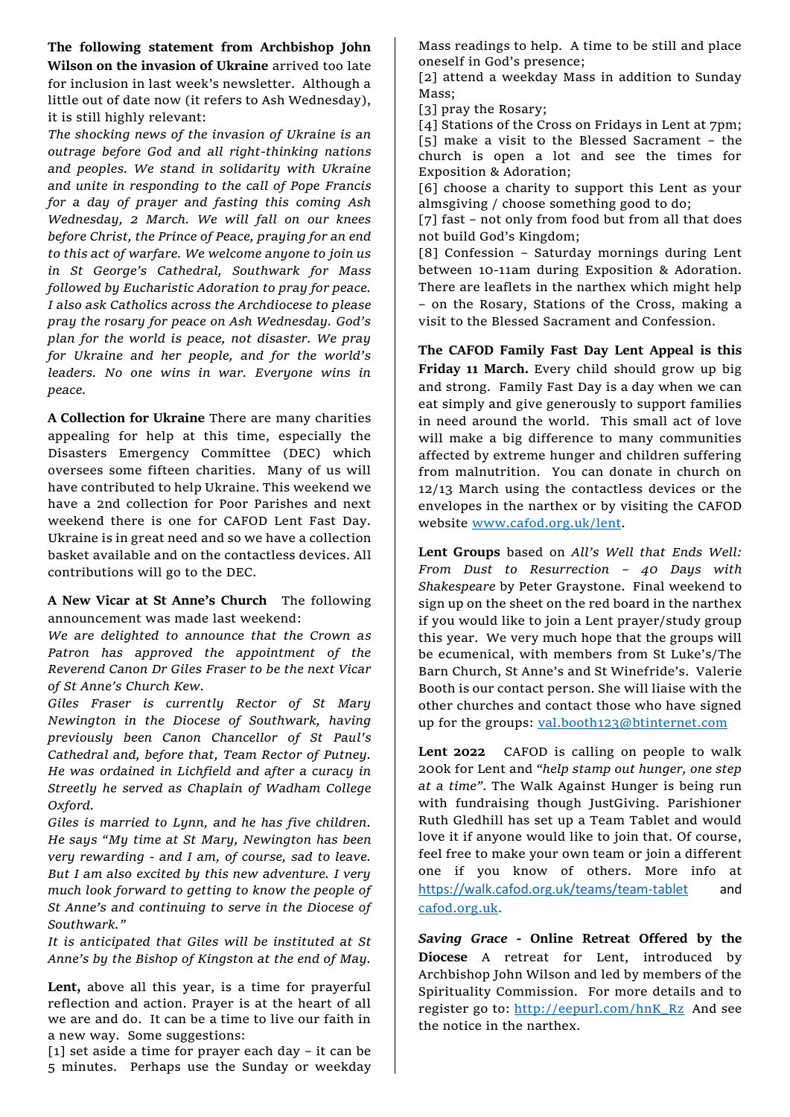**The following statement from Archbishop John Wilson on the invasion of Ukraine** arrived too late for inclusion in last week's newsletter. Although a little out of date now (it refers to Ash Wednesday), it is still highly relevant:

*The shocking news of the invasion of Ukraine is an outrage before God and all right-thinking nations and peoples. We stand in solidarity with Ukraine and unite in responding to the call of Pope Francis for a day of prayer and fasting this coming Ash Wednesday, 2 March. We will fall on our knees before Christ, the Prince of Peace, praying for an end to this act of warfare. We welcome anyone to join us in St George's Cathedral, Southwark for Mass followed by Eucharistic Adoration to pray for peace. I also ask Catholics across the Archdiocese to please pray the rosary for peace on Ash Wednesday. God's plan for the world is peace, not disaster. We pray for Ukraine and her people, and for the world's leaders. No one wins in war. Everyone wins in peace.*

**A Collection for Ukraine** There are many charities appealing for help at this time, especially the Disasters Emergency Committee (DEC) which oversees some fifteen charities. Many of us will have contributed to help Ukraine. This weekend we have a 2nd collection for Poor Parishes and next weekend there is one for CAFOD Lent Fast Day. Ukraine is in great need and so we have a collection basket available and on the contactless devices. All contributions will go to the DEC.

**A New Vicar at St Anne's Church** The following announcement was made last weekend:

*We are delighted to announce that the Crown as Patron has approved the appointment of the Reverend Canon Dr Giles Fraser to be the next Vicar of St Anne's Church Kew.* 

*Giles Fraser is currently Rector of St Mary Newington in the Diocese of Southwark, having previously been Canon Chancellor of St Paul's Cathedral and, before that, Team Rector of Putney. He was ordained in Lichfield and after a curacy in Streetly he served as Chaplain of Wadham College Oxford.*

*Giles is married to Lynn, and he has five children. He says "My time at St Mary, Newington has been very rewarding - and I am, of course, sad to leave. But I am also excited by this new adventure. I very much look forward to getting to know the people of St Anne's and continuing to serve in the Diocese of Southwark."*

*It is anticipated that Giles will be instituted at St Anne's by the Bishop of Kingston at the end of May.*

**Lent,** above all this year, is a time for prayerful reflection and action. Prayer is at the heart of all we are and do. It can be a time to live our faith in a new way. Some suggestions:

[1] set aside a time for prayer each day – it can be 5 minutes. Perhaps use the Sunday or weekday Mass readings to help. A time to be still and place oneself in God's presence;

[2] attend a weekday Mass in addition to Sunday Mass;

[3] pray the Rosary;

[4] Stations of the Cross on Fridays in Lent at 7pm; [5] make a visit to the Blessed Sacrament – the church is open a lot and see the times for Exposition & Adoration;

[6] choose a charity to support this Lent as your almsgiving / choose something good to do;

[7] fast - not only from food but from all that does not build God's Kingdom;

[8] Confession – Saturday mornings during Lent between 10-11am during Exposition & Adoration. There are leaflets in the narthex which might help – on the Rosary, Stations of the Cross, making a visit to the Blessed Sacrament and Confession.

**The CAFOD Family Fast Day Lent Appeal is this Friday 11 March.** Every child should grow up big and strong. Family Fast Day is a day when we can eat simply and give generously to support families in need around the world. This small act of love will make a big difference to many communities affected by extreme hunger and children suffering from malnutrition. You can donate in church on 12/13 March using the contactless devices or the envelopes in the narthex or by visiting the CAFOD website [www.cafod.org.uk/lent.](http://www.cafod.org.uk/lent)

**Lent Groups** based on *All's Well that Ends Well: From Dust to Resurrection – 40 Days with Shakespeare* by Peter Graystone.Final weekend to sign up on the sheet on the red board in the narthex if you would like to join a Lent prayer/study group this year. We very much hope that the groups will be ecumenical, with members from St Luke's/The Barn Church, St Anne's and St Winefride's. Valerie Booth is our contact person. She will liaise with the other churches and contact those who have signed up for the groups: [val.booth123@btinternet.com](mailto:val.booth123@btinternet.com)

**Lent 2022** CAFOD is calling on people to walk 200k for Lent and *"help stamp out hunger, one step at a time".* The Walk Against Hunger is being run with fundraising though JustGiving. Parishioner Ruth Gledhill has set up a Team Tablet and would love it if anyone would like to join that. Of course, feel free to make your own team or join a different one if you know of others. More info at <https://walk.cafod.org.uk/teams/team-tablet> and [cafod.org.uk](http://cafod.org.uk/).

*Saving Grace* **- Online Retreat Offered by the Diocese** A retreat for Lent, introduced by Archbishop John Wilson and led by members of the Spirituality Commission. For more details and to register go to: [http://eepurl.com/hnK\\_Rz](http://eepurl.com/hnK_Rz) And see the notice in the narthex.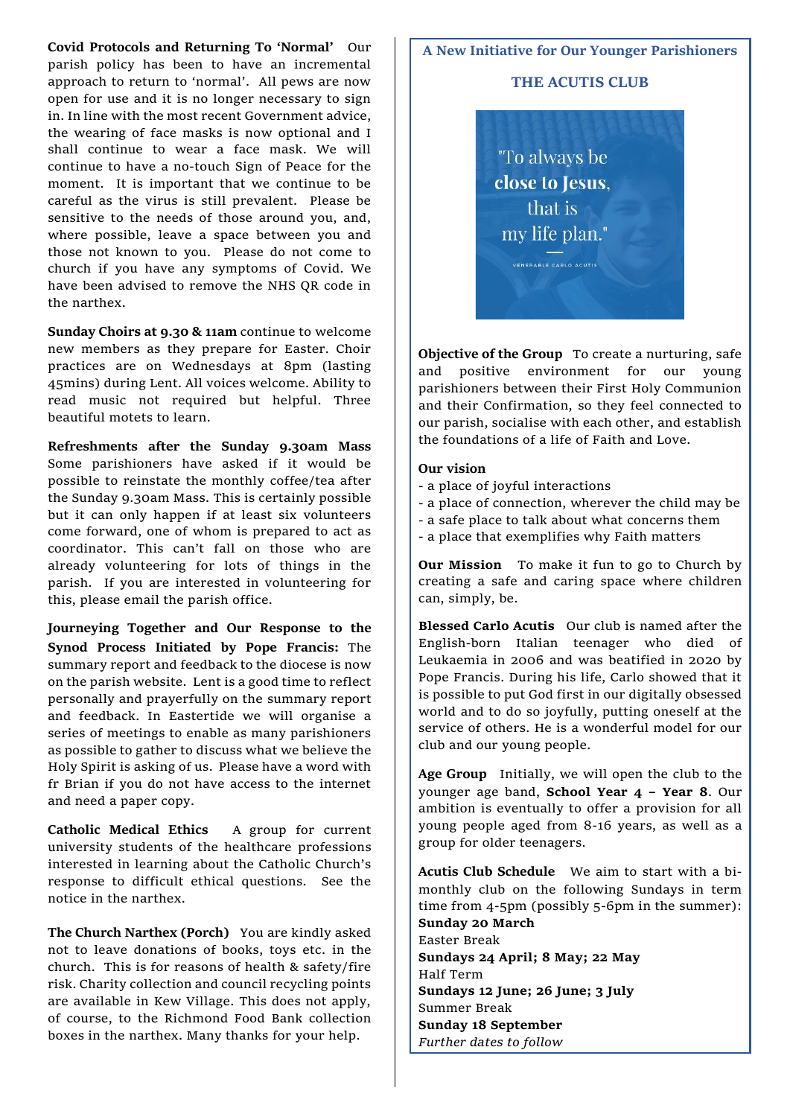**Covid Protocols and Returning To 'Normal'** Our parish policy has been to have an incremental approach to return to 'normal'. All pews are now open for use and it is no longer necessary to sign in. In line with the most recent Government advice, the wearing of face masks is now optional and I shall continue to wear a face mask. We will continue to have a no-touch Sign of Peace for the moment. It is important that we continue to be careful as the virus is still prevalent. Please be sensitive to the needs of those around you, and, where possible, leave a space between you and those not known to you. Please do not come to church if you have any symptoms of Covid. We have been advised to remove the NHS QR code in the narthex.

**Sunday Choirs at 9.30 & 11am** continue to welcome new members as they prepare for Easter. Choir practices are on Wednesdays at 8pm (lasting 45mins) during Lent. All voices welcome. Ability to read music not required but helpful. Three beautiful motets to learn.

**Refreshments after the Sunday 9.30am Mass**  Some parishioners have asked if it would be possible to reinstate the monthly coffee/tea after the Sunday 9.30am Mass. This is certainly possible but it can only happen if at least six volunteers come forward, one of whom is prepared to act as coordinator. This can't fall on those who are already volunteering for lots of things in the parish. If you are interested in volunteering for this, please email the parish office.

**Journeying Together and Our Response to the Synod Process Initiated by Pope Francis:** The summary report and feedback to the diocese is now on the parish website. Lent is a good time to reflect personally and prayerfully on the summary report and feedback. In Eastertide we will organise a series of meetings to enable as many parishioners as possible to gather to discuss what we believe the Holy Spirit is asking of us.Please have a word with fr Brian if you do not have access to the internet and need a paper copy.

**Catholic Medical Ethics** A group for current university students of the healthcare professions interested in learning about the Catholic Church's response to difficult ethical questions. See the notice in the narthex.

**The Church Narthex (Porch)** You are kindly asked not to leave donations of books, toys etc. in the church. This is for reasons of health & safety/fire risk. Charity collection and council recycling points are available in Kew Village. This does not apply, of course, to the Richmond Food Bank collection boxes in the narthex. Many thanks for your help.

#### **A New Initiative for Our Younger Parishioners**

#### **THE ACUTIS CLUB**

"To always be close to Jesus. that is my life plan."

**Objective of the Group** To create a nurturing, safe and positive environment for our young parishioners between their First Holy Communion and their Confirmation, so they feel connected to our parish, socialise with each other, and establish the foundations of a life of Faith and Love.

#### **Our vision**

- a place of joyful interactions
- a place of connection, wherever the child may be
- a safe place to talk about what concerns them
- a place that exemplifies why Faith matters

**Our Mission** To make it fun to go to Church by creating a safe and caring space where children can, simply, be.

**Blessed Carlo Acutis** Our club is named after the English-born Italian teenager who died of Leukaemia in 2006 and was beatified in 2020 by Pope Francis. During his life, Carlo showed that it is possible to put God first in our digitally obsessed world and to do so joyfully, putting oneself at the service of others. He is a wonderful model for our club and our young people.

**Age Group** Initially, we will open the club to the younger age band, **School Year 4 – Year 8**. Our ambition is eventually to offer a provision for all young people aged from 8-16 years, as well as a group for older teenagers.

**Acutis Club Schedule** We aim to start with a bimonthly club on the following Sundays in term time from 4-5pm (possibly 5-6pm in the summer): **Sunday 20 March**  Easter Break **Sundays 24 April; 8 May; 22 May** 

Half Term **Sundays 12 June; 26 June; 3 July**  Summer Break **Sunday 18 September** *Further dates to follow*